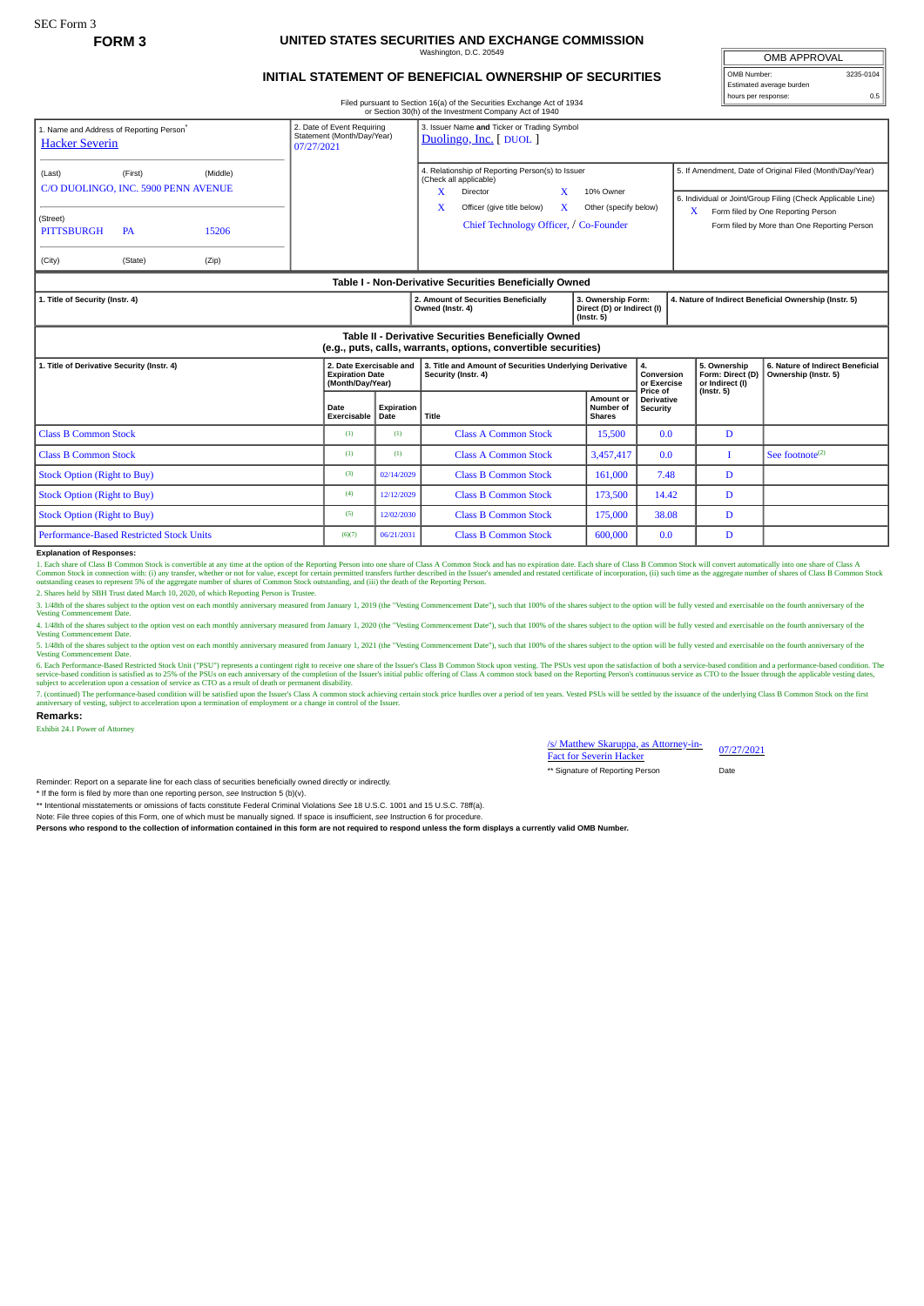## **FORM 3 UNITED STATES SECURITIES AND EXCHANGE COMMISSION** naton, D.C. 20

## **INITIAL STATEMENT OF BENEFICIAL OWNERSHIP OF SECURITIES**

Filed pursuant to Section 16(a) of the Securities Exchange Act of 1934 or Section 30(h) of the Investment Company Act of 1940

| 1. Name and Address of Reporting Person <sup>®</sup><br><b>Hacker Severin</b>                                         | 2. Date of Event Requiring<br>Statement (Month/Day/Year)<br>07/27/2021 |                    | 3. Issuer Name and Ticker or Trading Symbol<br>Duolingo, Inc. [DUOL]                                           |                                                                      |                                           |                                                          |                                                                                                                                                   |  |
|-----------------------------------------------------------------------------------------------------------------------|------------------------------------------------------------------------|--------------------|----------------------------------------------------------------------------------------------------------------|----------------------------------------------------------------------|-------------------------------------------|----------------------------------------------------------|---------------------------------------------------------------------------------------------------------------------------------------------------|--|
| (First)<br>(Middle)<br>(Last)<br>C/O DUOLINGO, INC. 5900 PENN AVENUE                                                  |                                                                        |                    | 4. Relationship of Reporting Person(s) to Issuer<br>(Check all applicable)<br>X<br>Director<br>10% Owner<br>X. |                                                                      |                                           | 5. If Amendment, Date of Original Filed (Month/Day/Year) |                                                                                                                                                   |  |
| (Street)<br>15206<br><b>PITTSBURGH</b><br><b>PA</b><br>(Zip)<br>(City)<br>(State)                                     |                                                                        |                    | x<br>Officer (give title below)<br>$\mathbf{X}$<br>Chief Technology Officer, / Co-Founder                      | Other (specify below)                                                |                                           | X                                                        | 6. Individual or Joint/Group Filing (Check Applicable Line)<br>Form filed by One Reporting Person<br>Form filed by More than One Reporting Person |  |
| Table I - Non-Derivative Securities Beneficially Owned                                                                |                                                                        |                    |                                                                                                                |                                                                      |                                           |                                                          |                                                                                                                                                   |  |
| 1. Title of Security (Instr. 4)                                                                                       |                                                                        |                    | 2. Amount of Securities Beneficially<br>Owned (Instr. 4)                                                       | 3. Ownership Form:<br>Direct (D) or Indirect (I)<br>$($ Instr. 5 $)$ |                                           | 4. Nature of Indirect Beneficial Ownership (Instr. 5)    |                                                                                                                                                   |  |
| Table II - Derivative Securities Beneficially Owned<br>(e.g., puts, calls, warrants, options, convertible securities) |                                                                        |                    |                                                                                                                |                                                                      |                                           |                                                          |                                                                                                                                                   |  |
| 1. Title of Derivative Security (Instr. 4)                                                                            | 2. Date Exercisable and<br><b>Expiration Date</b><br>(Month/Day/Year)  |                    | 3. Title and Amount of Securities Underlying Derivative<br>Security (Instr. 4)                                 |                                                                      | 4.<br>Conversion<br>or Exercise           | 5. Ownership<br>Form: Direct (D)<br>or Indirect (I)      | 6. Nature of Indirect Beneficial<br>Ownership (Instr. 5)                                                                                          |  |
|                                                                                                                       | Date<br>Exercisable                                                    | Expiration<br>Date | Title                                                                                                          | Amount or<br>Number of<br><b>Shares</b>                              | Price of<br><b>Derivative</b><br>Security | $($ Instr. 5 $)$                                         |                                                                                                                                                   |  |
| <b>Class B Common Stock</b>                                                                                           | (1)                                                                    | (1)                | <b>Class A Common Stock</b>                                                                                    | 15,500                                                               | 0.0                                       | D                                                        |                                                                                                                                                   |  |
| <b>Class B Common Stock</b>                                                                                           | (1)                                                                    | (1)                | <b>Class A Common Stock</b>                                                                                    | 3,457,417                                                            | 0.0                                       | T                                                        | See footnote $(2)$                                                                                                                                |  |
| <b>Stock Option (Right to Buy)</b>                                                                                    | (3)                                                                    | 02/14/2029         | <b>Class B Common Stock</b>                                                                                    | 161.000                                                              | 7.48                                      | D                                                        |                                                                                                                                                   |  |
| <b>Stock Option (Right to Buy)</b>                                                                                    | (4)                                                                    | 12/12/2029         | <b>Class B Common Stock</b>                                                                                    | 173,500                                                              | 14.42                                     | D                                                        |                                                                                                                                                   |  |
| <b>Stock Option (Right to Buy)</b>                                                                                    | (5)                                                                    | 12/02/2030         | <b>Class B Common Stock</b>                                                                                    | 175,000                                                              | 38.08                                     | D                                                        |                                                                                                                                                   |  |
| <b>Performance-Based Restricted Stock Units</b>                                                                       | (6)(7)                                                                 | 06/21/2031         | <b>Class B Common Stock</b>                                                                                    | 600,000                                                              | 0.0                                       | D                                                        |                                                                                                                                                   |  |

Explanation of Responses:<br>1. Each share of Class B Common Stock is convertible at any time at the option of the Reporting Person into one share of Class A Common Stock and has no expiration date. Each share of Class B Comm

3. 1/48th of the shares subject to the option vest on each monthly anniversary measured from January 1, 2019 (the "Vesting Commencement Date"), such that 100% of the shares subject to the option will be fully vested and ex

4. 1/48th of the shares subject to the option vest on each monthly anniversary measured from January 1, 2020 (the "Vesting Commencement Date"), such that 100% of the shares subject to the option will be fully vested and ex

5. 1/48th of the shares subject to the option vest on each monthly anniversary measured from January 1, 2021 (the "Vesting Commencement Date"), such that 100% of the shares subject to the option will be fully vested and ex 6. Each Performance-Based Restricted Stock Unit ("PSU") represents a contingent right to receive one share of the Issuer's Class B Common Stock upon vesting. The PSUs vest upon the satisfaction of both a service-based cond

7. (continued) The performance-based condition will be satisfied upon the Issuer's Class A common stock achieving certain stock price hurdles over a period of ten years. Vested PSUs will be settled by the issuance of the u and version and version upon a termination of employment or a change in control of the Issuer.

**Remarks:**

Exhibit 24.1 Power of Attorney

/s/ Matthew Skaruppa, as Attorney-in-*SI* Matthew Skaruppa, as Attorney-in-<br>Fact for Severin Hacker \*\* Signature of Reporting Person Date

Reminder: Report on a separate line for each class of securities beneficially owned directly or indirectly.

\* If the form is filed by more than one reporting person, *see* Instruction 5 (b)(v).

\*\* Intentional misstatements or omissions of facts constitute Federal Criminal Violations *See* 18 U.S.C. 1001 and 15 U.S.C. 78ff(a).

Note: File three copies of this Form, one of which must be manually signed. If space is insufficient, *see* Instruction 6 for procedure.

**Persons who respond to the collection of information contained in this form are not required to respond unless the form displays a currently valid OMB Number.**